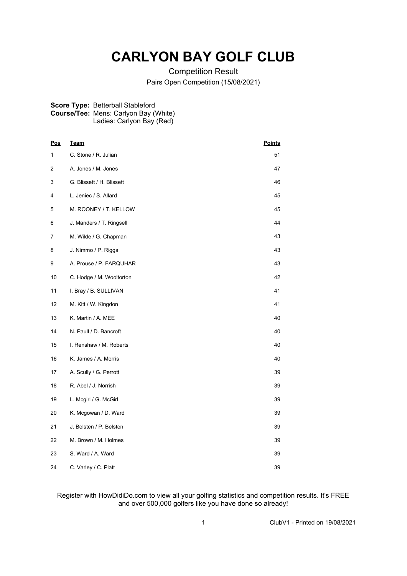## **CARLYON BAY GOLF CLUB**

Competition Result Pairs Open Competition (15/08/2021)

## **Score Type:** Betterball Stableford **Course/Tee:** Mens: Carlyon Bay (White) Ladies: Carlyon Bay (Red)

| <u>Pos</u> | <b>Team</b>               | <b>Points</b> |
|------------|---------------------------|---------------|
| 1          | C. Stone / R. Julian      | 51            |
| 2          | A. Jones / M. Jones       | 47            |
| 3          | G. Blissett / H. Blissett | 46            |
| 4          | L. Jeniec / S. Allard     | 45            |
| 5          | M. ROONEY / T. KELLOW     | 45            |
| 6          | J. Manders / T. Ringsell  | 44            |
| 7          | M. Wilde / G. Chapman     | 43            |
| 8          | J. Nimmo / P. Riggs       | 43            |
| 9          | A. Prouse / P. FARQUHAR   | 43            |
| 10         | C. Hodge / M. Wooltorton  | 42            |
| 11         | I. Bray / B. SULLIVAN     | 41            |
| 12         | M. Kitt / W. Kingdon      | 41            |
| 13         | K. Martin / A. MEE        | 40            |
| 14         | N. Paull / D. Bancroft    | 40            |
| 15         | I. Renshaw / M. Roberts   | 40            |
| 16         | K. James / A. Morris      | 40            |
| 17         | A. Scully / G. Perrott    | 39            |
| 18         | R. Abel / J. Norrish      | 39            |
| 19         | L. Mcgirl / G. McGirl     | 39            |
| 20         | K. Mcgowan / D. Ward      | 39            |
| 21         | J. Belsten / P. Belsten   | 39            |
| 22         | M. Brown / M. Holmes      | 39            |
| 23         | S. Ward / A. Ward         | 39            |
| 24         | C. Varley / C. Platt      | 39            |

## Register with HowDidiDo.com to view all your golfing statistics and competition results. It's FREE and over 500,000 golfers like you have done so already!